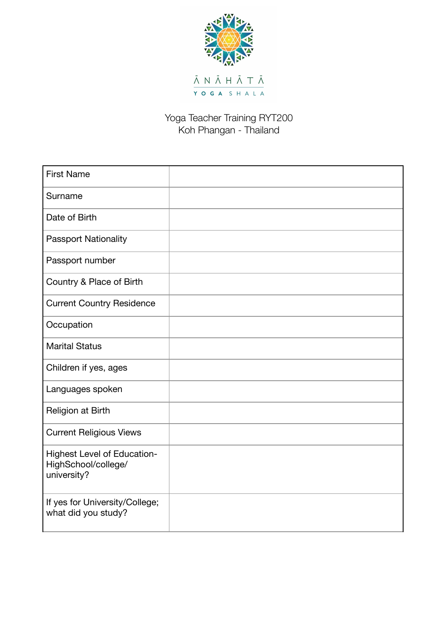

## Yoga Teacher Training RYT200 Koh Phangan - Thailand

| <b>First Name</b>                                                        |  |
|--------------------------------------------------------------------------|--|
| Surname                                                                  |  |
| Date of Birth                                                            |  |
| <b>Passport Nationality</b>                                              |  |
| Passport number                                                          |  |
| Country & Place of Birth                                                 |  |
| <b>Current Country Residence</b>                                         |  |
| Occupation                                                               |  |
| <b>Marital Status</b>                                                    |  |
| Children if yes, ages                                                    |  |
| Languages spoken                                                         |  |
| Religion at Birth                                                        |  |
| <b>Current Religious Views</b>                                           |  |
| <b>Highest Level of Education-</b><br>HighSchool/college/<br>university? |  |
| If yes for University/College;<br>what did you study?                    |  |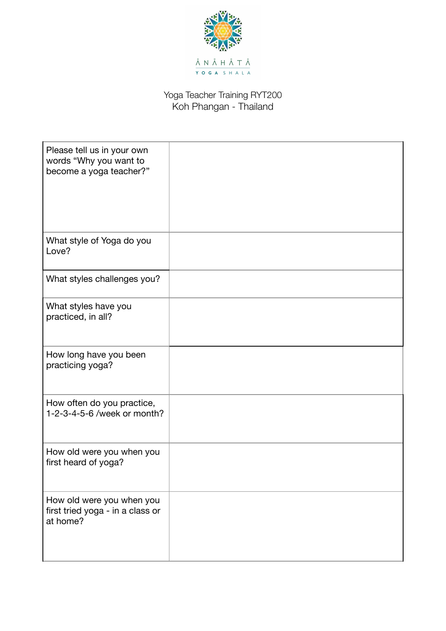

## Yoga Teacher Training RYT200 Koh Phangan - Thailand

| Please tell us in your own<br>words "Why you want to<br>become a yoga teacher?" |  |
|---------------------------------------------------------------------------------|--|
| What style of Yoga do you<br>Love?                                              |  |
| What styles challenges you?                                                     |  |
| What styles have you<br>practiced, in all?                                      |  |
| How long have you been<br>practicing yoga?                                      |  |
| How often do you practice,<br>1-2-3-4-5-6 /week or month?                       |  |
| How old were you when you<br>first heard of yoga?                               |  |
| How old were you when you<br>first tried yoga - in a class or<br>at home?       |  |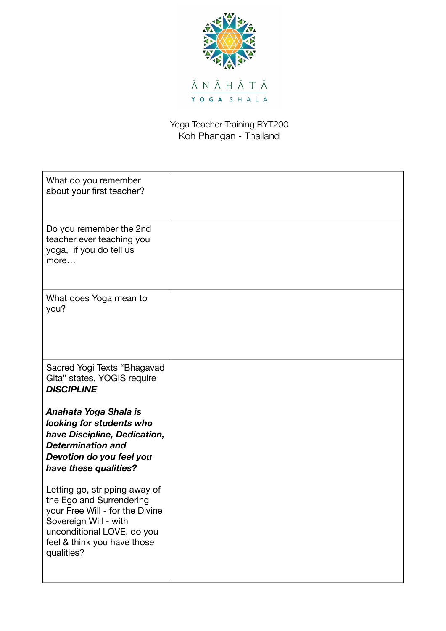

## Yoga Teacher Training RYT200 Koh Phangan - Thailand

| What do you remember<br>about your first teacher?                                                                                                                                                |  |
|--------------------------------------------------------------------------------------------------------------------------------------------------------------------------------------------------|--|
| Do you remember the 2nd<br>teacher ever teaching you<br>yoga, if you do tell us<br>more                                                                                                          |  |
| What does Yoga mean to<br>you?                                                                                                                                                                   |  |
| Sacred Yogi Texts "Bhagavad<br>Gita" states, YOGIS require<br><b>DISCIPLINE</b>                                                                                                                  |  |
| Anahata Yoga Shala is<br>looking for students who<br>have Discipline, Dedication,<br><b>Determination and</b><br>Devotion do you feel you<br>have these qualities?                               |  |
| Letting go, stripping away of<br>the Ego and Surrendering<br>your Free Will - for the Divine<br>Sovereign Will - with<br>unconditional LOVE, do you<br>feel & think you have those<br>qualities? |  |